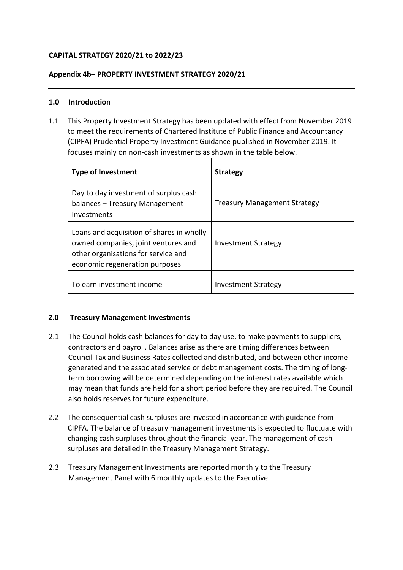# **CAPITAL STRATEGY 2020/21 to 2022/23**

#### **Appendix 4b– PROPERTY INVESTMENT STRATEGY 2020/21**

#### **1.0 Introduction**

1.1 This Property Investment Strategy has been updated with effect from November 2019 to meet the requirements of Chartered Institute of Public Finance and Accountancy (CIPFA) Prudential Property Investment Guidance published in November 2019. It focuses mainly on non-cash investments as shown in the table below.

| <b>Type of Investment</b>                                                                                                                                 | <b>Strategy</b>                     |
|-----------------------------------------------------------------------------------------------------------------------------------------------------------|-------------------------------------|
| Day to day investment of surplus cash<br>balances – Treasury Management<br>Investments                                                                    | <b>Treasury Management Strategy</b> |
| Loans and acquisition of shares in wholly<br>owned companies, joint ventures and<br>other organisations for service and<br>economic regeneration purposes | <b>Investment Strategy</b>          |
| To earn investment income                                                                                                                                 | Investment Strategy                 |

## **2.0 Treasury Management Investments**

- 2.1 The Council holds cash balances for day to day use, to make payments to suppliers, contractors and payroll. Balances arise as there are timing differences between Council Tax and Business Rates collected and distributed, and between other income generated and the associated service or debt management costs. The timing of longterm borrowing will be determined depending on the interest rates available which may mean that funds are held for a short period before they are required. The Council also holds reserves for future expenditure.
- 2.2 The consequential cash surpluses are invested in accordance with guidance from CIPFA. The balance of treasury management investments is expected to fluctuate with changing cash surpluses throughout the financial year. The management of cash surpluses are detailed in the Treasury Management Strategy.
- 2.3 Treasury Management Investments are reported monthly to the Treasury Management Panel with 6 monthly updates to the Executive.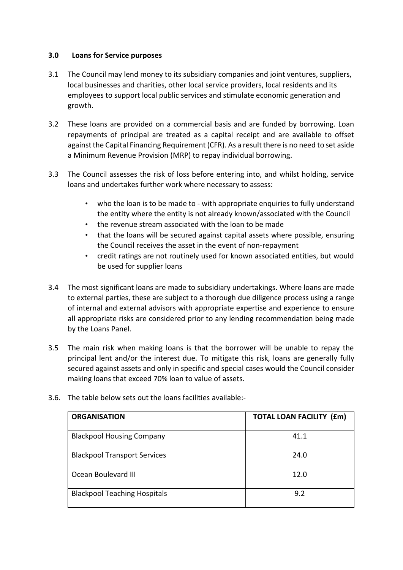## **3.0 Loans for Service purposes**

- 3.1 The Council may lend money to its subsidiary companies and joint ventures, suppliers, local businesses and charities, other local service providers, local residents and its employees to support local public services and stimulate economic generation and growth.
- 3.2 These loans are provided on a commercial basis and are funded by borrowing. Loan repayments of principal are treated as a capital receipt and are available to offset against the Capital Financing Requirement (CFR). As a result there is no need to set aside a Minimum Revenue Provision (MRP) to repay individual borrowing.
- 3.3 The Council assesses the risk of loss before entering into, and whilst holding, service loans and undertakes further work where necessary to assess:
	- who the loan is to be made to with appropriate enquiries to fully understand the entity where the entity is not already known/associated with the Council
	- the revenue stream associated with the loan to be made
	- that the loans will be secured against capital assets where possible, ensuring the Council receives the asset in the event of non-repayment
	- credit ratings are not routinely used for known associated entities, but would be used for supplier loans
- 3.4 The most significant loans are made to subsidiary undertakings. Where loans are made to external parties, these are subject to a thorough due diligence process using a range of internal and external advisors with appropriate expertise and experience to ensure all appropriate risks are considered prior to any lending recommendation being made by the Loans Panel.
- 3.5 The main risk when making loans is that the borrower will be unable to repay the principal lent and/or the interest due. To mitigate this risk, loans are generally fully secured against assets and only in specific and special cases would the Council consider making loans that exceed 70% loan to value of assets.

| <b>ORGANISATION</b>                 | <b>TOTAL LOAN FACILITY (£m)</b> |
|-------------------------------------|---------------------------------|
| <b>Blackpool Housing Company</b>    | 41.1                            |
| <b>Blackpool Transport Services</b> | 24.0                            |
| Ocean Boulevard III                 | 12.0                            |
| <b>Blackpool Teaching Hospitals</b> | 9.2                             |

3.6. The table below sets out the loans facilities available:-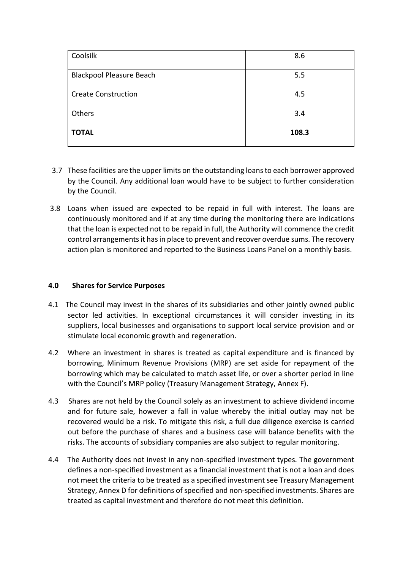| Coolsilk                        | 8.6   |
|---------------------------------|-------|
| <b>Blackpool Pleasure Beach</b> | 5.5   |
| <b>Create Construction</b>      | 4.5   |
| Others                          | 3.4   |
| <b>TOTAL</b>                    | 108.3 |

- 3.7 These facilities are the upper limits on the outstanding loans to each borrower approved by the Council. Any additional loan would have to be subject to further consideration by the Council.
- 3.8 Loans when issued are expected to be repaid in full with interest. The loans are continuously monitored and if at any time during the monitoring there are indications that the loan is expected not to be repaid in full, the Authority will commence the credit control arrangements it has in place to prevent and recover overdue sums. The recovery action plan is monitored and reported to the Business Loans Panel on a monthly basis.

#### **4.0 Shares for Service Purposes**

- 4.1 The Council may invest in the shares of its subsidiaries and other jointly owned public sector led activities. In exceptional circumstances it will consider investing in its suppliers, local businesses and organisations to support local service provision and or stimulate local economic growth and regeneration.
- 4.2 Where an investment in shares is treated as capital expenditure and is financed by borrowing, Minimum Revenue Provisions (MRP) are set aside for repayment of the borrowing which may be calculated to match asset life, or over a shorter period in line with the Council's MRP policy (Treasury Management Strategy, Annex F).
- 4.3 Shares are not held by the Council solely as an investment to achieve dividend income and for future sale, however a fall in value whereby the initial outlay may not be recovered would be a risk. To mitigate this risk, a full due diligence exercise is carried out before the purchase of shares and a business case will balance benefits with the risks. The accounts of subsidiary companies are also subject to regular monitoring.
- 4.4 The Authority does not invest in any non-specified investment types. The government defines a non-specified investment as a financial investment that is not a loan and does not meet the criteria to be treated as a specified investment see Treasury Management Strategy, Annex D for definitions of specified and non-specified investments. Shares are treated as capital investment and therefore do not meet this definition.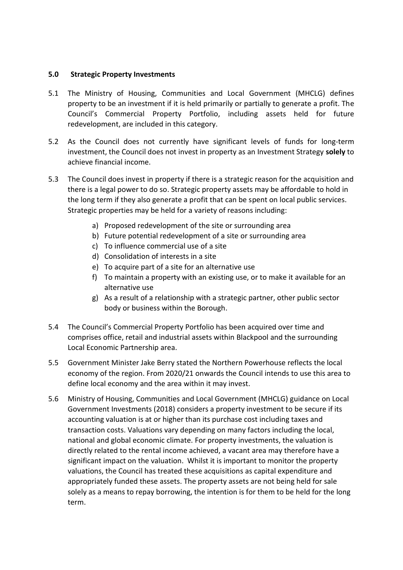#### **5.0 Strategic Property Investments**

- 5.1 The Ministry of Housing, Communities and Local Government (MHCLG) defines property to be an investment if it is held primarily or partially to generate a profit. The Council's Commercial Property Portfolio, including assets held for future redevelopment, are included in this category.
- 5.2 As the Council does not currently have significant levels of funds for long-term investment, the Council does not invest in property as an Investment Strategy **solely** to achieve financial income.
- 5.3 The Council does invest in property if there is a strategic reason for the acquisition and there is a legal power to do so. Strategic property assets may be affordable to hold in the long term if they also generate a profit that can be spent on local public services. Strategic properties may be held for a variety of reasons including:
	- a) Proposed redevelopment of the site or surrounding area
	- b) Future potential redevelopment of a site or surrounding area
	- c) To influence commercial use of a site
	- d) Consolidation of interests in a site
	- e) To acquire part of a site for an alternative use
	- f) To maintain a property with an existing use, or to make it available for an alternative use
	- g) As a result of a relationship with a strategic partner, other public sector body or business within the Borough.
- 5.4 The Council's Commercial Property Portfolio has been acquired over time and comprises office, retail and industrial assets within Blackpool and the surrounding Local Economic Partnership area.
- 5.5 Government Minister Jake Berry stated the Northern Powerhouse reflects the local economy of the region. From 2020/21 onwards the Council intends to use this area to define local economy and the area within it may invest.
- 5.6 Ministry of Housing, Communities and Local Government (MHCLG) guidance on Local Government Investments (2018) considers a property investment to be secure if its accounting valuation is at or higher than its purchase cost including taxes and transaction costs. Valuations vary depending on many factors including the local, national and global economic climate. For property investments, the valuation is directly related to the rental income achieved, a vacant area may therefore have a significant impact on the valuation. Whilst it is important to monitor the property valuations, the Council has treated these acquisitions as capital expenditure and appropriately funded these assets. The property assets are not being held for sale solely as a means to repay borrowing, the intention is for them to be held for the long term.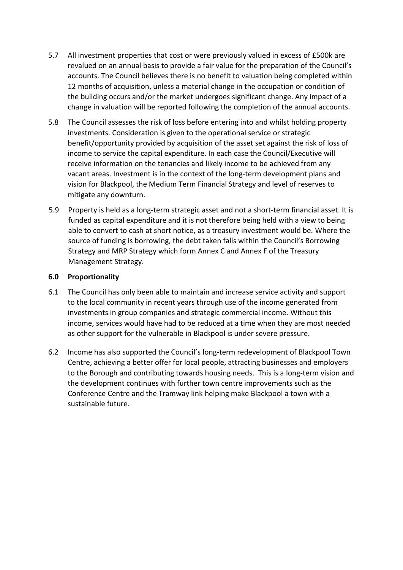- 5.7 All investment properties that cost or were previously valued in excess of £500k are revalued on an annual basis to provide a fair value for the preparation of the Council's accounts. The Council believes there is no benefit to valuation being completed within 12 months of acquisition, unless a material change in the occupation or condition of the building occurs and/or the market undergoes significant change. Any impact of a change in valuation will be reported following the completion of the annual accounts.
- 5.8 The Council assesses the risk of loss before entering into and whilst holding property investments. Consideration is given to the operational service or strategic benefit/opportunity provided by acquisition of the asset set against the risk of loss of income to service the capital expenditure. In each case the Council/Executive will receive information on the tenancies and likely income to be achieved from any vacant areas. Investment is in the context of the long-term development plans and vision for Blackpool, the Medium Term Financial Strategy and level of reserves to mitigate any downturn.
- 5.9 Property is held as a long-term strategic asset and not a short-term financial asset. It is funded as capital expenditure and it is not therefore being held with a view to being able to convert to cash at short notice, as a treasury investment would be. Where the source of funding is borrowing, the debt taken falls within the Council's Borrowing Strategy and MRP Strategy which form Annex C and Annex F of the Treasury Management Strategy.

## **6.0 Proportionality**

- 6.1 The Council has only been able to maintain and increase service activity and support to the local community in recent years through use of the income generated from investments in group companies and strategic commercial income. Without this income, services would have had to be reduced at a time when they are most needed as other support for the vulnerable in Blackpool is under severe pressure.
- 6.2 Income has also supported the Council's long-term redevelopment of Blackpool Town Centre, achieving a better offer for local people, attracting businesses and employers to the Borough and contributing towards housing needs. This is a long-term vision and the development continues with further town centre improvements such as the Conference Centre and the Tramway link helping make Blackpool a town with a sustainable future.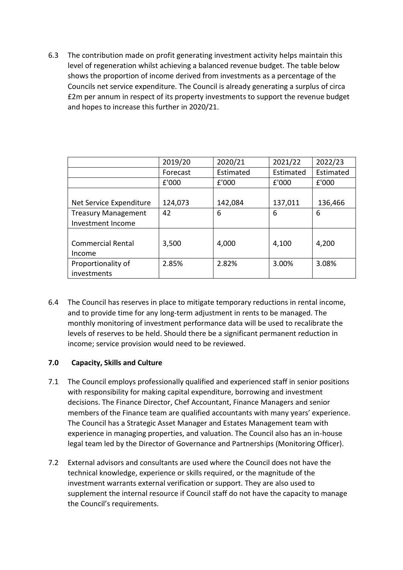6.3 The contribution made on profit generating investment activity helps maintain this level of regeneration whilst achieving a balanced revenue budget. The table below shows the proportion of income derived from investments as a percentage of the Councils net service expenditure. The Council is already generating a surplus of circa £2m per annum in respect of its property investments to support the revenue budget and hopes to increase this further in 2020/21.

|                            | 2019/20  | 2020/21   | 2021/22   | 2022/23   |
|----------------------------|----------|-----------|-----------|-----------|
|                            | Forecast | Estimated | Estimated | Estimated |
|                            | £'000    | £'000     | £'000     | £'000     |
|                            |          |           |           |           |
| Net Service Expenditure    | 124,073  | 142,084   | 137,011   | 136,466   |
| <b>Treasury Management</b> | 42       | 6         | 6         | 6         |
| Investment Income          |          |           |           |           |
|                            |          |           |           |           |
| <b>Commercial Rental</b>   | 3,500    | 4,000     | 4,100     | 4,200     |
| Income                     |          |           |           |           |
| Proportionality of         | 2.85%    | 2.82%     | 3.00%     | 3.08%     |
| investments                |          |           |           |           |

6.4 The Council has reserves in place to mitigate temporary reductions in rental income, and to provide time for any long-term adjustment in rents to be managed. The monthly monitoring of investment performance data will be used to recalibrate the levels of reserves to be held. Should there be a significant permanent reduction in income; service provision would need to be reviewed.

## **7.0 Capacity, Skills and Culture**

- 7.1 The Council employs professionally qualified and experienced staff in senior positions with responsibility for making capital expenditure, borrowing and investment decisions. The Finance Director, Chef Accountant, Finance Managers and senior members of the Finance team are qualified accountants with many years' experience. The Council has a Strategic Asset Manager and Estates Management team with experience in managing properties, and valuation. The Council also has an in-house legal team led by the Director of Governance and Partnerships (Monitoring Officer).
- 7.2 External advisors and consultants are used where the Council does not have the technical knowledge, experience or skills required, or the magnitude of the investment warrants external verification or support. They are also used to supplement the internal resource if Council staff do not have the capacity to manage the Council's requirements.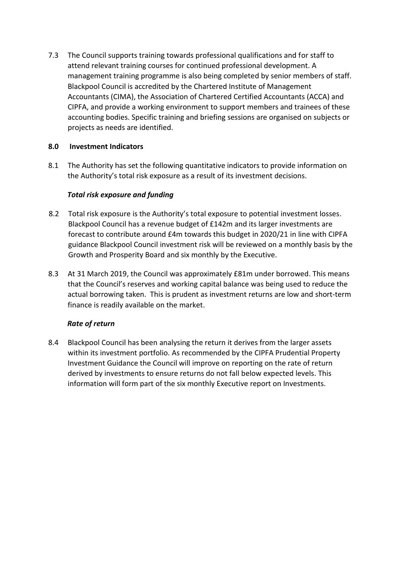7.3 The Council supports training towards professional qualifications and for staff to attend relevant training courses for continued professional development. A management training programme is also being completed by senior members of staff. Blackpool Council is accredited by the Chartered Institute of Management Accountants (CIMA), the Association of Chartered Certified Accountants (ACCA) and CIPFA, and provide a working environment to support members and trainees of these accounting bodies. Specific training and briefing sessions are organised on subjects or projects as needs are identified.

# **8.0 Investment Indicators**

8.1 The Authority has set the following quantitative indicators to provide information on the Authority's total risk exposure as a result of its investment decisions.

# *Total risk exposure and funding*

- 8.2 Total risk exposure is the Authority's total exposure to potential investment losses. Blackpool Council has a revenue budget of £142m and its larger investments are forecast to contribute around £4m towards this budget in 2020/21 in line with CIPFA guidance Blackpool Council investment risk will be reviewed on a monthly basis by the Growth and Prosperity Board and six monthly by the Executive.
- 8.3 At 31 March 2019, the Council was approximately £81m under borrowed. This means that the Council's reserves and working capital balance was being used to reduce the actual borrowing taken. This is prudent as investment returns are low and short-term finance is readily available on the market.

## *Rate of return*

8.4 Blackpool Council has been analysing the return it derives from the larger assets within its investment portfolio. As recommended by the CIPFA Prudential Property Investment Guidance the Council will improve on reporting on the rate of return derived by investments to ensure returns do not fall below expected levels. This information will form part of the six monthly Executive report on Investments.